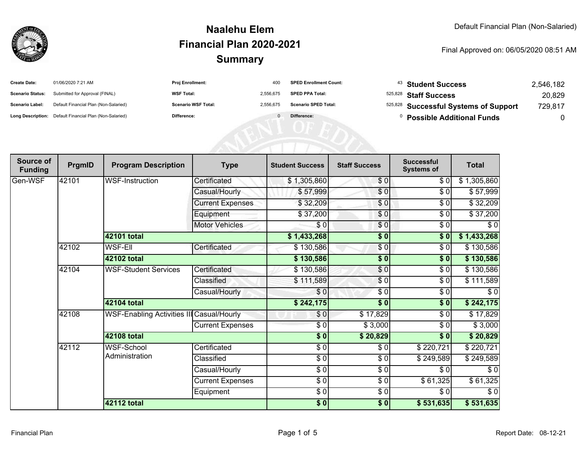

| <b>Create Date:</b>     | 01/06/2020 7:21 AM                                      | Proj Enrollment:           | 400       | <b>SPED Enrollment Count:</b> | <sup>43</sup> Student Success         | 2,546,182 |
|-------------------------|---------------------------------------------------------|----------------------------|-----------|-------------------------------|---------------------------------------|-----------|
| <b>Scenario Status:</b> | Submitted for Approval (FINAL)                          | <b>WSF Total:</b>          | 2,556,675 | <b>SPED PPA Total:</b>        | 525,828 Staff Success                 | 20,829    |
| <b>Scenario Label:</b>  | Default Financial Plan (Non-Salaried)                   | <b>Scenario WSF Total:</b> | 2,556,675 | <b>Scenario SPED Total:</b>   | 525,828 Successful Systems of Support | 729,817   |
|                         | Long Description: Default Financial Plan (Non-Salaried) | Difference:                |           | Difference:                   | <b>Possible Additional Funds</b>      |           |
|                         |                                                         |                            |           |                               |                                       |           |
|                         |                                                         |                            |           |                               |                                       |           |
|                         |                                                         |                            |           |                               |                                       |           |

| Source of<br><b>Funding</b> | PrgmID | <b>Program Description</b>                       | <b>Type</b>             | <b>Student Success</b>   | <b>Staff Success</b> | <b>Successful</b><br><b>Systems of</b> | <b>Total</b> |
|-----------------------------|--------|--------------------------------------------------|-------------------------|--------------------------|----------------------|----------------------------------------|--------------|
| Gen-WSF                     | 42101  | <b>WSF-Instruction</b>                           | Certificated            | \$1,305,860              | \$0                  | \$0                                    | \$1,305,860  |
|                             |        |                                                  | Casual/Hourly           | \$57,999                 | \$0                  | \$0                                    | \$57,999     |
|                             |        |                                                  | <b>Current Expenses</b> | \$32,209                 | \$0                  | \$0                                    | \$32,209     |
|                             |        |                                                  | Equipment               | \$37,200                 | $\frac{6}{3}$        | $\sqrt{6}$                             | \$37,200     |
|                             |        |                                                  | <b>Motor Vehicles</b>   | $\frac{1}{\epsilon}$     | \$0                  | $\frac{1}{\sqrt{2}}$                   | $\sqrt{6}$   |
|                             |        | 42101 total                                      |                         | \$1,433,268              | $\frac{1}{2}$        | \$0                                    | \$1,433,268  |
|                             | 42102  | WSF-Ell                                          | Certificated            | \$130,586                | \$0                  | \$0                                    | \$130,586    |
|                             |        | 42102 total                                      |                         | \$130,586                | \$0                  | \$0                                    | \$130,586    |
|                             | 42104  | <b>WSF-Student Services</b>                      | Certificated            | \$130,586                | \$0                  | \$0                                    | \$130,586    |
|                             |        |                                                  | Classified              | \$111,589                | \$0                  | \$0                                    | \$111,589    |
|                             |        |                                                  | Casual/Hourly           | \$0                      | \$0                  | \$0                                    | \$0          |
|                             |        | 42104 total                                      |                         | \$242,175                | $\frac{1}{2}$        | \$0                                    | \$242,175    |
|                             | 42108  | <b>WSF-Enabling Activities III Casual/Hourly</b> |                         | \$0                      | \$17,829             | \$0                                    | \$17,829     |
|                             |        |                                                  | <b>Current Expenses</b> | \$0                      | \$3,000              | \$0                                    | \$3,000      |
|                             |        | <b>42108 total</b>                               |                         | $\sqrt{5}$               | \$20,829             | \$0                                    | \$20,829     |
|                             | 42112  | WSF-School                                       | Certificated            | $\frac{6}{6}$            | \$0                  | \$220,721                              | \$220,721    |
|                             |        | Administration                                   | Classified              | $\sqrt{3}$               | \$0                  | \$249,589                              | \$249,589    |
|                             |        |                                                  | Casual/Hourly           | $\frac{6}{6}$            | \$0                  | \$0                                    | \$0          |
|                             |        |                                                  | <b>Current Expenses</b> | $\overline{\frac{1}{2}}$ | \$0                  | \$61,325                               | \$61,325     |
|                             |        |                                                  | Equipment               | $\frac{6}{6}$            | \$0                  | \$0                                    | $\sqrt{6}$   |
|                             |        | <b>42112 total</b>                               |                         | \$0]                     | $\frac{1}{6}$        | \$531,635                              | \$531,635    |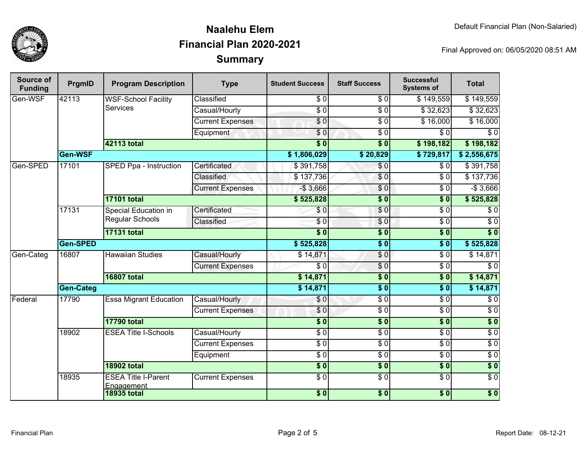

| Source of<br><b>Funding</b> | PrgmID                           | <b>Program Description</b>                    | <b>Type</b>                   | <b>Student Success</b> | <b>Staff Success</b> | <b>Successful</b><br><b>Systems of</b> | <b>Total</b>     |                 |
|-----------------------------|----------------------------------|-----------------------------------------------|-------------------------------|------------------------|----------------------|----------------------------------------|------------------|-----------------|
| Gen-WSF                     | 42113                            | <b>WSF-School Facility</b><br><b>Services</b> | Classified                    | \$0                    | \$0                  | \$149,559                              | \$149,559        |                 |
|                             |                                  |                                               | Casual/Hourly                 | $\overline{S}0$        | $\overline{S}0$      | \$32,623                               | \$32,623         |                 |
|                             |                                  |                                               | <b>Current Expenses</b>       | $\overline{\$0}$       | $\overline{50}$      | \$16,000                               | \$16,000         |                 |
|                             |                                  |                                               | Equipment                     | \$0                    | $\overline{\$0}$     | \$0                                    | $\overline{\$0}$ |                 |
|                             |                                  | 42113 total                                   |                               | $\overline{\$0}$       | $\overline{\$0}$     | \$198,182                              | \$198,182        |                 |
|                             | Gen-WSF                          |                                               |                               | \$1,806,029            | \$20,829             | \$729,817                              | \$2,556,675      |                 |
| Gen-SPED                    | 17101                            | <b>SPED Ppa - Instruction</b>                 | Certificated                  | \$391,758              | $\sqrt{6}$           | \$0                                    | \$391,758        |                 |
|                             |                                  |                                               | Classified                    | \$137,736              | $\overline{S}0$      | $\overline{\$0}$                       | \$137,736        |                 |
|                             |                                  |                                               | <b>Current Expenses</b>       | $-$3,666$              | \$0                  | $\sqrt{6}$                             | $-$3,666$        |                 |
|                             |                                  | <b>17101 total</b>                            |                               | \$525,828              | $\overline{\$0}$     | $\overline{\$0}$                       | \$525,828        |                 |
|                             | 17131                            | Special Education in                          | Certificated                  | \$0                    | \$0                  | \$0                                    | \$0              |                 |
|                             |                                  | <b>Regular Schools</b>                        | Classified                    | $\overline{\$0}$       | \$0                  | $\overline{\$0}$                       | $\overline{\$0}$ |                 |
|                             |                                  | <b>17131 total</b>                            |                               | $\overline{\$0}$       | $\overline{\$0}$     | $\overline{\$0}$                       | $\overline{\$0}$ |                 |
|                             | <b>Gen-SPED</b>                  |                                               |                               | \$525,828              | $\overline{\$0}$     | $\overline{\$0}$                       | \$525,828        |                 |
| Gen-Categ                   | 16807<br><b>Hawaiian Studies</b> |                                               |                               | Casual/Hourly          | \$14,871             | $\sqrt{6}$                             | $\overline{\$0}$ | \$14,871        |
|                             |                                  | <b>Current Expenses</b>                       | $\overline{S}$                | $\overline{S}0$        | $\overline{30}$      | $\overline{\$0}$                       |                  |                 |
|                             |                                  | <b>16807 total</b>                            |                               | \$14,871               | $\overline{\$0}$     | $\overline{\$0}$                       | \$14,871         |                 |
|                             | <b>Gen-Categ</b>                 |                                               | \$14,871                      | $\overline{\$0}$       | $\overline{\$0}$     | \$14,871                               |                  |                 |
| Federal                     | 17790                            |                                               | <b>Essa Migrant Education</b> | Casual/Hourly          | \$0                  | $\overline{S}0$                        | $\overline{30}$  | $\overline{30}$ |
|                             |                                  |                                               | <b>Current Expenses</b>       | \$0                    | $\sqrt{6}$           | $\overline{\$0}$                       | $\overline{30}$  |                 |
|                             |                                  | <b>17790 total</b>                            |                               | $\overline{\$0}$       | $\overline{\$0}$     | $\overline{\$0}$                       | $\overline{\$0}$ |                 |
|                             | 18902                            | <b>ESEA Title I-Schools</b>                   | Casual/Hourly                 | $\overline{30}$        | $\overline{60}$      | $\overline{30}$                        | $\overline{30}$  |                 |
|                             |                                  |                                               | <b>Current Expenses</b>       | $\overline{30}$        | $\overline{50}$      | $\overline{30}$                        | $\overline{30}$  |                 |
|                             |                                  |                                               | Equipment                     | $\overline{30}$        | $\overline{\$0}$     | $\overline{30}$                        | $\overline{30}$  |                 |
|                             |                                  | <b>18902 total</b>                            |                               | $\overline{\$0}$       | $\overline{\$0}$     | $\overline{\$0}$                       | $\overline{\$0}$ |                 |
|                             | 18935                            | <b>ESEA Title I-Parent</b><br>Engagement      | <b>Current Expenses</b>       | $\overline{\$0}$       | $\overline{50}$      | $\sqrt{6}$                             | $\overline{\$0}$ |                 |
|                             |                                  | <b>18935 total</b>                            |                               | $\overline{\$0}$       | \$0                  | $\overline{\$0}$                       | $\overline{\$0}$ |                 |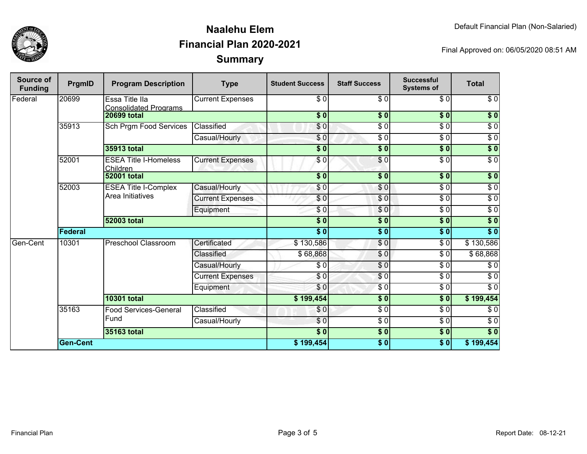

| <b>Source of</b><br><b>Funding</b> | PrgmID                      | <b>Program Description</b>               | <b>Type</b>             | <b>Student Success</b> | <b>Staff Success</b> | <b>Successful</b><br><b>Systems of</b> | <b>Total</b>     |          |
|------------------------------------|-----------------------------|------------------------------------------|-------------------------|------------------------|----------------------|----------------------------------------|------------------|----------|
| Federal                            | 20699                       | Essa Title IIa<br>Consolidated Programs  | <b>Current Expenses</b> | \$0                    | $\overline{\$0}$     | $\overline{\$0}$                       | $\overline{\$0}$ |          |
|                                    |                             | <b>20699 total</b>                       |                         | $\sqrt{5}$             | $\frac{1}{2}$        | 30                                     | $\sqrt{6}$       |          |
|                                    | 35913                       | Sch Prgm Food Services                   | Classified              | \$0                    | $\frac{6}{6}$        | $\overline{\$0}$                       | $\sqrt{6}$       |          |
|                                    |                             |                                          | Casual/Hourly           | \$0                    | $\overline{\$0}$     | $\sqrt{6}$                             | $\overline{\$0}$ |          |
|                                    |                             | 35913 total                              |                         | $\sqrt{6}$             | $\sqrt{6}$           | $\overline{\$0}$                       | $\sqrt{6}$       |          |
|                                    | 52001                       | <b>ESEA Title I-Homeless</b><br>Children | <b>Current Expenses</b> | \$0                    | $\sqrt{6}$           | $\overline{\$0}$                       | $\overline{\$0}$ |          |
|                                    |                             | <b>52001 total</b>                       |                         | \$0]                   | \$0                  | \$0                                    | \$0              |          |
|                                    | 52003                       | <b>ESEA Title I-Complex</b>              | Casual/Hourly           | \$0                    | $\frac{6}{3}$        | $\sqrt{6}$                             | $\sqrt{6}$       |          |
|                                    |                             | Area Initiatives                         | <b>Current Expenses</b> | $\frac{6}{3}$          | $\frac{6}{3}$        | $\sqrt{6}$                             | $\sqrt{6}$       |          |
|                                    |                             |                                          | Equipment               | \$0                    | \$0                  | $\overline{\$0}$                       | $\sqrt{6}$       |          |
|                                    |                             | <b>52003 total</b>                       |                         | $\frac{1}{6}$          | \$0                  | $\sqrt{6}$                             | $\sqrt{6}$       |          |
|                                    | Federal                     |                                          |                         | $\overline{\$0}$       | \$0                  | $\overline{\$0}$                       | $\overline{\$0}$ |          |
| Gen-Cent                           | 10301<br><b>10301 total</b> | Preschool Classroom                      | Certificated            | \$130,586              | \$0                  | $\sqrt{6}$                             | \$130,586        |          |
|                                    |                             |                                          |                         | Classified             | \$68,868             | \$0                                    | $\sqrt{6}$       | \$68,868 |
|                                    |                             |                                          | Casual/Hourly           | $\sqrt{6}$             | \$0                  | $\overline{\$0}$                       | $\sqrt{6}$       |          |
|                                    |                             |                                          | <b>Current Expenses</b> | \$0                    | \$0                  | $\overline{\$0}$                       | $\sqrt{6}$       |          |
|                                    |                             |                                          | Equipment               | \$0                    | $\frac{3}{2}$        | $\sqrt{6}$                             | $\sqrt{6}$       |          |
|                                    |                             |                                          |                         | \$199,454              | \$0                  | $\overline{\$0}$                       | \$199,454        |          |
|                                    | 35163                       | <b>Food Services-General</b><br>Fund     | Classified              | \$0                    | \$0                  | $\overline{\$0}$                       | $\sqrt{6}$       |          |
|                                    |                             |                                          | Casual/Hourly           | \$0                    | \$0                  | $\sqrt{6}$                             | $\sqrt{6}$       |          |
|                                    |                             | 35163 total                              |                         | \$0]                   | \$0                  | \$0                                    | \$0              |          |
|                                    | <b>Gen-Cent</b>             |                                          | \$199,454               | \$0                    | \$0                  | \$199,454                              |                  |          |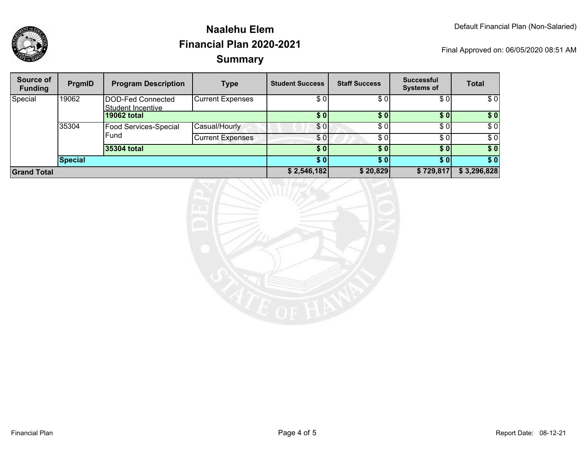

| <b>Source of</b><br><b>Funding</b> | PrgmID         | <b>Program Description</b>             | <b>Type</b>             | <b>Student Success</b> | <b>Staff Success</b> | <b>Successful</b><br><b>Systems of</b> | <b>Total</b> |
|------------------------------------|----------------|----------------------------------------|-------------------------|------------------------|----------------------|----------------------------------------|--------------|
| Special                            | 19062          | DOD-Fed Connected<br>Student Incentive | <b>Current Expenses</b> | \$ OI                  | \$0                  | \$01                                   | \$0          |
|                                    |                | 19062 total                            |                         | \$0                    | \$0                  | \$01                                   | \$0          |
|                                    | 35304          | <b>Food Services-Special</b>           | Casual/Hourly           | \$0                    | \$0                  | \$0                                    | \$0          |
|                                    |                | Fund                                   | <b>Current Expenses</b> | \$01                   | \$0                  | \$0                                    | \$0          |
|                                    |                | 35304 total                            |                         | \$0                    | \$0                  | \$0]                                   | \$0          |
|                                    | <b>Special</b> |                                        |                         | \$0                    | \$0                  | \$01                                   | \$0          |
| <b>Grand Total</b>                 |                |                                        | \$2,546,182             | \$20,829               | \$729,817            | \$3,296,828                            |              |